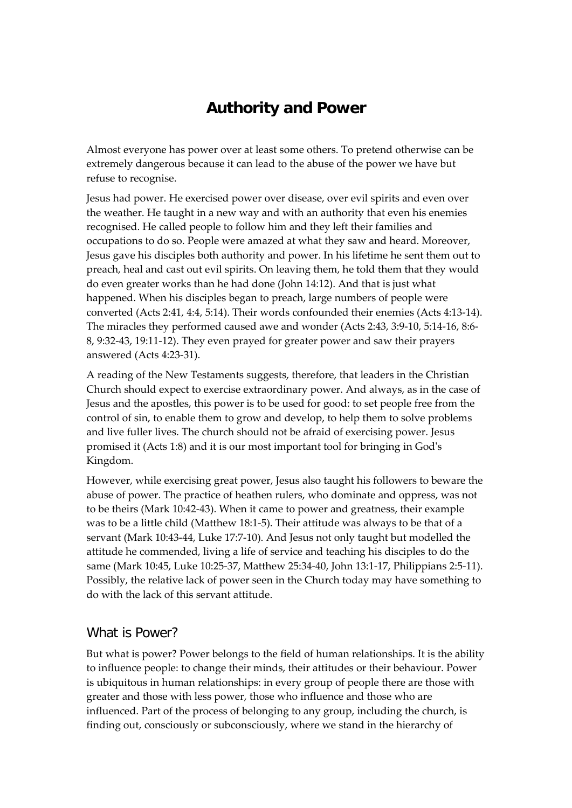## **Authority and Power**

Almost everyone has power over at least some others. To pretend otherwise can be extremely dangerous because it can lead to the abuse of the power we have but refuse to recognise.

Jesus had power. He exercised power over disease, over evil spirits and even over the weather. He taught in a new way and with an authority that even his enemies recognised. He called people to follow him and they left their families and occupations to do so. People were amazed at what they saw and heard. Moreover, Jesus gave his disciples both authority and power. In his lifetime he sent them out to preach, heal and cast out evil spirits. On leaving them, he told them that they would do even greater works than he had done (John 14:12). And that is just what happened. When his disciples began to preach, large numbers of people were converted (Acts 2:41, 4:4, 5:14). Their words confounded their enemies (Acts 4:13‐14). The miracles they performed caused awe and wonder (Acts 2:43, 3:9‐10, 5:14‐16, 8:6‐ 8, 9:32‐43, 19:11‐12). They even prayed for greater power and saw their prayers answered (Acts 4:23‐31).

A reading of the New Testaments suggests, therefore, that leaders in the Christian Church should expect to exercise extraordinary power. And always, as in the case of Jesus and the apostles, this power is to be used for good: to set people free from the control of sin, to enable them to grow and develop, to help them to solve problems and live fuller lives. The church should not be afraid of exercising power. Jesus promised it (Acts 1:8) and it is our most important tool for bringing in Godʹs Kingdom.

However, while exercising great power, Jesus also taught his followers to beware the abuse of power. The practice of heathen rulers, who dominate and oppress, was not to be theirs (Mark 10:42‐43). When it came to power and greatness, their example was to be a little child (Matthew 18:1‐5). Their attitude was always to be that of a servant (Mark 10:43‐44, Luke 17:7‐10). And Jesus not only taught but modelled the attitude he commended, living a life of service and teaching his disciples to do the same (Mark 10:45, Luke 10:25‐37, Matthew 25:34‐40, John 13:1‐17, Philippians 2:5‐11). Possibly, the relative lack of power seen in the Church today may have something to do with the lack of this servant attitude.

## What is Power?

But what is power? Power belongs to the field of human relationships. It is the ability to influence people: to change their minds, their attitudes or their behaviour. Power is ubiquitous in human relationships: in every group of people there are those with greater and those with less power, those who influence and those who are influenced. Part of the process of belonging to any group, including the church, is finding out, consciously or subconsciously, where we stand in the hierarchy of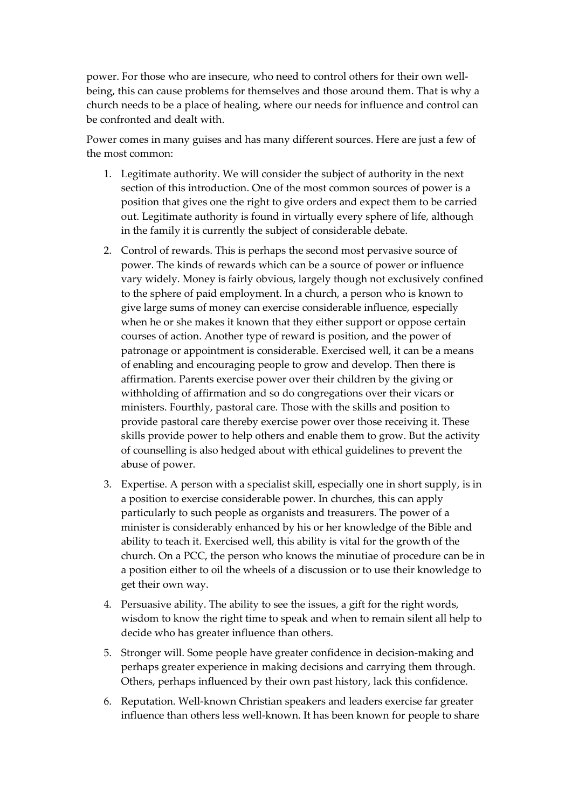power. For those who are insecure, who need to control others for their own wellbeing, this can cause problems for themselves and those around them. That is why a church needs to be a place of healing, where our needs for influence and control can be confronted and dealt with.

Power comes in many guises and has many different sources. Here are just a few of the most common:

- 1. Legitimate authority. We will consider the subject of authority in the next section of this introduction. One of the most common sources of power is a position that gives one the right to give orders and expect them to be carried out. Legitimate authority is found in virtually every sphere of life, although in the family it is currently the subject of considerable debate.
- 2. Control of rewards. This is perhaps the second most pervasive source of power. The kinds of rewards which can be a source of power or influence vary widely. Money is fairly obvious, largely though not exclusively confined to the sphere of paid employment. In a church, a person who is known to give large sums of money can exercise considerable influence, especially when he or she makes it known that they either support or oppose certain courses of action. Another type of reward is position, and the power of patronage or appointment is considerable. Exercised well, it can be a means of enabling and encouraging people to grow and develop. Then there is affirmation. Parents exercise power over their children by the giving or withholding of affirmation and so do congregations over their vicars or ministers. Fourthly, pastoral care. Those with the skills and position to provide pastoral care thereby exercise power over those receiving it. These skills provide power to help others and enable them to grow. But the activity of counselling is also hedged about with ethical guidelines to prevent the abuse of power.
- 3. Expertise. A person with a specialist skill, especially one in short supply, is in a position to exercise considerable power. In churches, this can apply particularly to such people as organists and treasurers. The power of a minister is considerably enhanced by his or her knowledge of the Bible and ability to teach it. Exercised well, this ability is vital for the growth of the church. On a PCC, the person who knows the minutiae of procedure can be in a position either to oil the wheels of a discussion or to use their knowledge to get their own way.
- 4. Persuasive ability. The ability to see the issues, a gift for the right words, wisdom to know the right time to speak and when to remain silent all help to decide who has greater influence than others.
- 5. Stronger will. Some people have greater confidence in decision‐making and perhaps greater experience in making decisions and carrying them through. Others, perhaps influenced by their own past history, lack this confidence.
- 6. Reputation. Well‐known Christian speakers and leaders exercise far greater influence than others less well-known. It has been known for people to share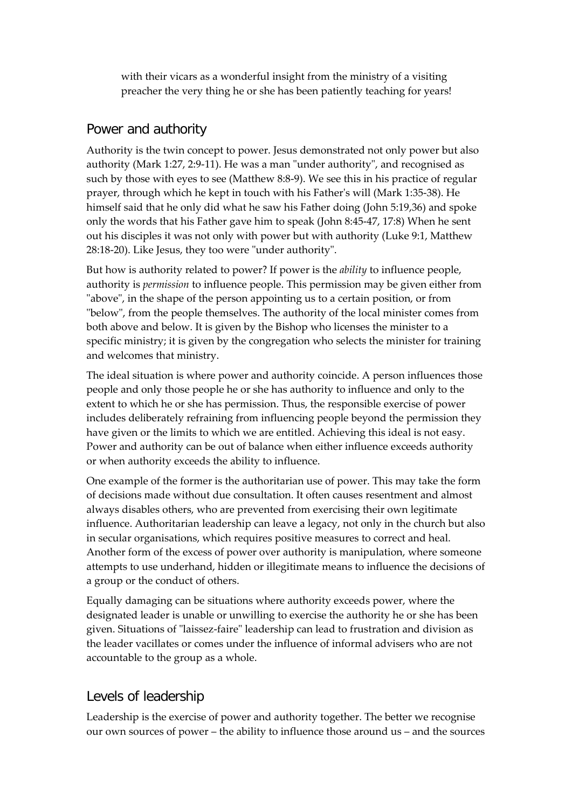with their vicars as a wonderful insight from the ministry of a visiting preacher the very thing he or she has been patiently teaching for years!

## Power and authority

Authority is the twin concept to power. Jesus demonstrated not only power but also authority (Mark 1:27, 2:9-11). He was a man "under authority", and recognised as such by those with eyes to see (Matthew 8:8‐9). We see this in his practice of regular prayer, through which he kept in touch with his Father's will (Mark 1:35-38). He himself said that he only did what he saw his Father doing (John 5:19,36) and spoke only the words that his Father gave him to speak (John 8:45‐47, 17:8) When he sent out his disciples it was not only with power but with authority (Luke 9:1, Matthew 28:18-20). Like Jesus, they too were "under authority".

But how is authority related to power? If power is the *ability* to influence people, authority is *permission* to influence people. This permission may be given either from "above", in the shape of the person appointing us to a certain position, or from "below", from the people themselves. The authority of the local minister comes from both above and below. It is given by the Bishop who licenses the minister to a specific ministry; it is given by the congregation who selects the minister for training and welcomes that ministry.

The ideal situation is where power and authority coincide. A person influences those people and only those people he or she has authority to influence and only to the extent to which he or she has permission. Thus, the responsible exercise of power includes deliberately refraining from influencing people beyond the permission they have given or the limits to which we are entitled. Achieving this ideal is not easy. Power and authority can be out of balance when either influence exceeds authority or when authority exceeds the ability to influence.

One example of the former is the authoritarian use of power. This may take the form of decisions made without due consultation. It often causes resentment and almost always disables others, who are prevented from exercising their own legitimate influence. Authoritarian leadership can leave a legacy, not only in the church but also in secular organisations, which requires positive measures to correct and heal. Another form of the excess of power over authority is manipulation, where someone attempts to use underhand, hidden or illegitimate means to influence the decisions of a group or the conduct of others.

Equally damaging can be situations where authority exceeds power, where the designated leader is unable or unwilling to exercise the authority he or she has been given. Situations of "laissez-faire" leadership can lead to frustration and division as the leader vacillates or comes under the influence of informal advisers who are not accountable to the group as a whole.

## Levels of leadership

Leadership is the exercise of power and authority together. The better we recognise our own sources of power – the ability to influence those around us – and the sources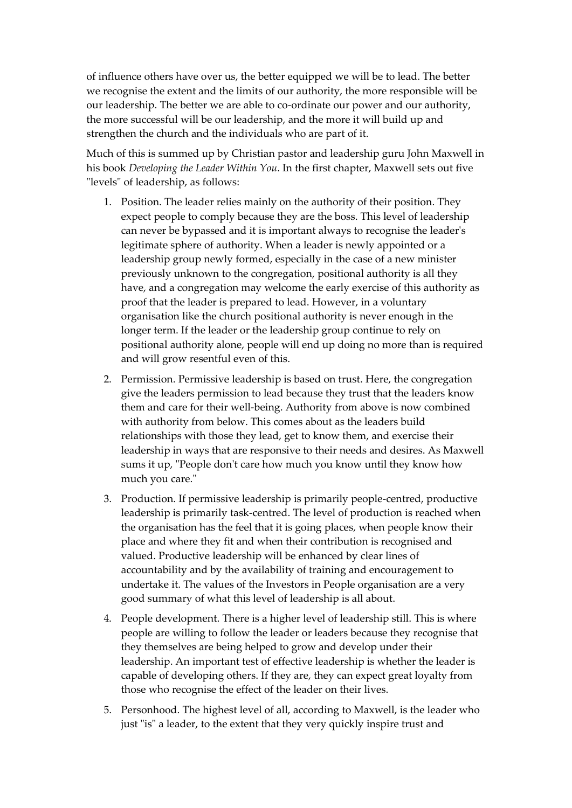of influence others have over us, the better equipped we will be to lead. The better we recognise the extent and the limits of our authority, the more responsible will be our leadership. The better we are able to co-ordinate our power and our authority, the more successful will be our leadership, and the more it will build up and strengthen the church and the individuals who are part of it.

Much of this is summed up by Christian pastor and leadership guru John Maxwell in his book *Developing the Leader Within You*. In the first chapter, Maxwell sets out five "levels" of leadership, as follows:

- 1. Position. The leader relies mainly on the authority of their position. They expect people to comply because they are the boss. This level of leadership can never be bypassed and it is important always to recognise the leaderʹs legitimate sphere of authority. When a leader is newly appointed or a leadership group newly formed, especially in the case of a new minister previously unknown to the congregation, positional authority is all they have, and a congregation may welcome the early exercise of this authority as proof that the leader is prepared to lead. However, in a voluntary organisation like the church positional authority is never enough in the longer term. If the leader or the leadership group continue to rely on positional authority alone, people will end up doing no more than is required and will grow resentful even of this.
- 2. Permission. Permissive leadership is based on trust. Here, the congregation give the leaders permission to lead because they trust that the leaders know them and care for their well‐being. Authority from above is now combined with authority from below. This comes about as the leaders build relationships with those they lead, get to know them, and exercise their leadership in ways that are responsive to their needs and desires. As Maxwell sums it up, "People don't care how much you know until they know how much you care."
- 3. Production. If permissive leadership is primarily people‐centred, productive leadership is primarily task‐centred. The level of production is reached when the organisation has the feel that it is going places, when people know their place and where they fit and when their contribution is recognised and valued. Productive leadership will be enhanced by clear lines of accountability and by the availability of training and encouragement to undertake it. The values of the Investors in People organisation are a very good summary of what this level of leadership is all about.
- 4. People development. There is a higher level of leadership still. This is where people are willing to follow the leader or leaders because they recognise that they themselves are being helped to grow and develop under their leadership. An important test of effective leadership is whether the leader is capable of developing others. If they are, they can expect great loyalty from those who recognise the effect of the leader on their lives.
- 5. Personhood. The highest level of all, according to Maxwell, is the leader who just "is" a leader, to the extent that they very quickly inspire trust and